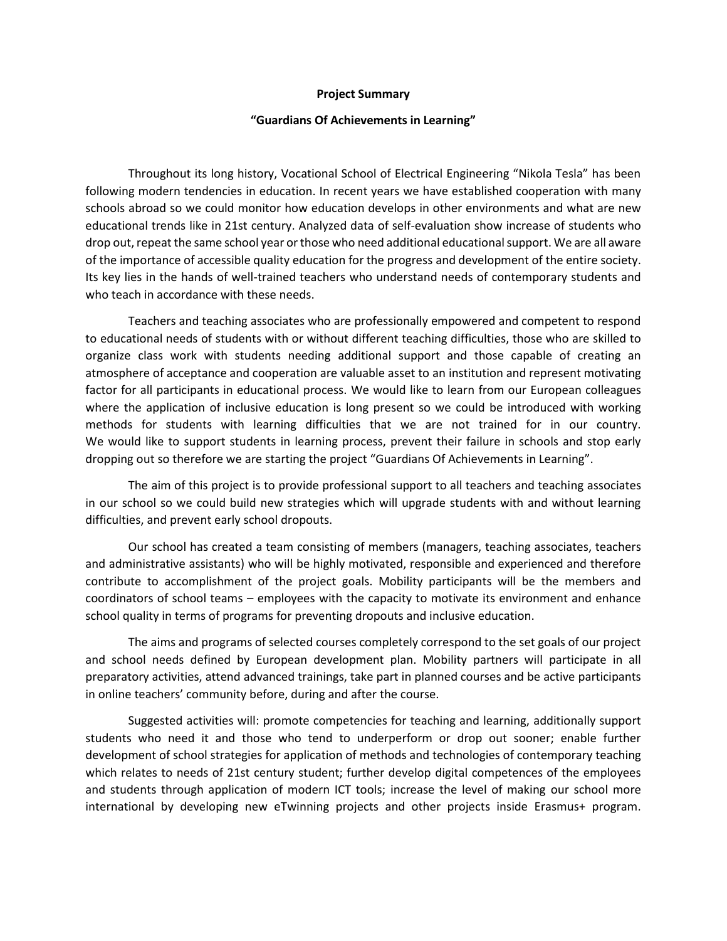## **Project Summary**

## **"Guardians Of Achievements in Learning"**

Throughout its long history, Vocational School of Electrical Engineering "Nikola Tesla" has been following modern tendencies in education. In recent years we have established cooperation with many schools abroad so we could monitor how education develops in other environments and what are new educational trends like in 21st century. Analyzed data of self-evaluation show increase of students who drop out, repeat the same school year or those who need additional educational support. We are all aware of the importance of accessible quality education for the progress and development of the entire society. Its key lies in the hands of well-trained teachers who understand needs of contemporary students and who teach in accordance with these needs.

Teachers and teaching associates who are professionally empowered and competent to respond to educational needs of students with or without different teaching difficulties, those who are skilled to organize class work with students needing additional support and those capable of creating an atmosphere of acceptance and cooperation are valuable asset to an institution and represent motivating factor for all participants in educational process. We would like to learn from our European colleagues where the application of inclusive education is long present so we could be introduced with working methods for students with learning difficulties that we are not trained for in our country. We would like to support students in learning process, prevent their failure in schools and stop early dropping out so therefore we are starting the project "Guardians Of Achievements in Learning".

The aim of this project is to provide professional support to all teachers and teaching associates in our school so we could build new strategies which will upgrade students with and without learning difficulties, and prevent early school dropouts.

Our school has created a team consisting of members (managers, teaching associates, teachers and administrative assistants) who will be highly motivated, responsible and experienced and therefore contribute to accomplishment of the project goals. Mobility participants will be the members and coordinators of school teams – employees with the capacity to motivate its environment and enhance school quality in terms of programs for preventing dropouts and inclusive education.

The aims and programs of selected courses completely correspond to the set goals of our project and school needs defined by European development plan. Mobility partners will participate in all preparatory activities, attend advanced trainings, take part in planned courses and be active participants in online teachers' community before, during and after the course.

Suggested activities will: promote competencies for teaching and learning, additionally support students who need it and those who tend to underperform or drop out sooner; enable further development of school strategies for application of methods and technologies of contemporary teaching which relates to needs of 21st century student; further develop digital competences of the employees and students through application of modern ICT tools; increase the level of making our school more international by developing new eTwinning projects and other projects inside Erasmus+ program.